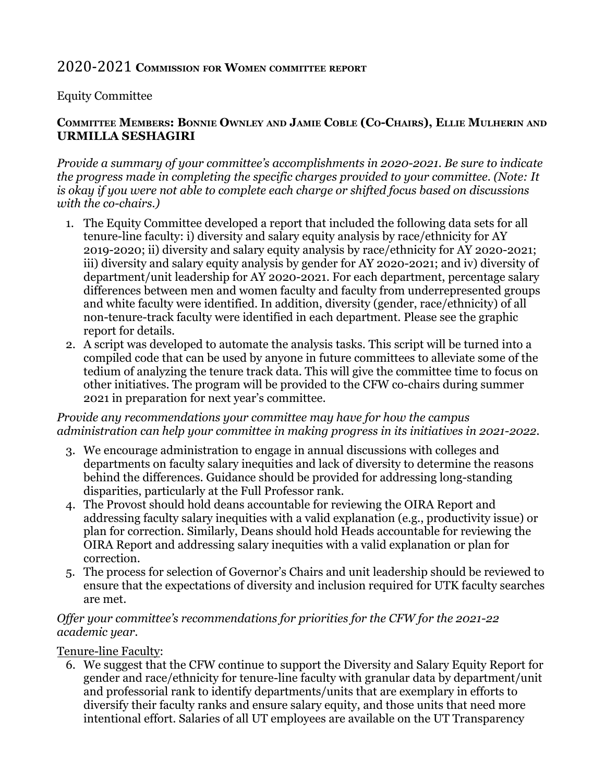# 2020-2021 **COMMISSION FOR WOMEN COMMITTEE REPORT**

# Equity Committee

## COMMITTEE MEMBERS: BONNIE OWNLEY AND JAMIE COBLE (CO-CHAIRS), ELLIE MULHERIN AND **URMILLA SESHAGIRI**

*Provide a summary of your committee's accomplishments in 2020-2021. Be sure to indicate the progress made in completing the specific charges provided to your committee. (Note: It is okay if you were not able to complete each charge or shifted focus based on discussions with the co-chairs.)*

- 1. The Equity Committee developed a report that included the following data sets for all tenure-line faculty: i) diversity and salary equity analysis by race/ethnicity for AY 2019-2020; ii) diversity and salary equity analysis by race/ethnicity for AY 2020-2021; iii) diversity and salary equity analysis by gender for AY 2020-2021; and iv) diversity of department/unit leadership for AY 2020-2021. For each department, percentage salary differences between men and women faculty and faculty from underrepresented groups and white faculty were identified. In addition, diversity (gender, race/ethnicity) of all non-tenure-track faculty were identified in each department. Please see the graphic report for details.
- 2. A script was developed to automate the analysis tasks. This script will be turned into a compiled code that can be used by anyone in future committees to alleviate some of the tedium of analyzing the tenure track data. This will give the committee time to focus on other initiatives. The program will be provided to the CFW co-chairs during summer 2021 in preparation for next year's committee.

#### *Provide any recommendations your committee may have for how the campus administration can help your committee in making progress in its initiatives in 2021-2022.*

- 3. We encourage administration to engage in annual discussions with colleges and departments on faculty salary inequities and lack of diversity to determine the reasons behind the differences. Guidance should be provided for addressing long-standing disparities, particularly at the Full Professor rank.
- 4. The Provost should hold deans accountable for reviewing the OIRA Report and addressing faculty salary inequities with a valid explanation (e.g., productivity issue) or plan for correction. Similarly, Deans should hold Heads accountable for reviewing the OIRA Report and addressing salary inequities with a valid explanation or plan for correction.
- 5. The process for selection of Governor's Chairs and unit leadership should be reviewed to ensure that the expectations of diversity and inclusion required for UTK faculty searches are met.

## *Offer your committee's recommendations for priorities for the CFW for the 2021-22 academic year.*

#### Tenure-line Faculty:

6. We suggest that the CFW continue to support the Diversity and Salary Equity Report for gender and race/ethnicity for tenure-line faculty with granular data by department/unit and professorial rank to identify departments/units that are exemplary in efforts to diversify their faculty ranks and ensure salary equity, and those units that need more intentional effort. Salaries of all UT employees are available on the UT Transparency